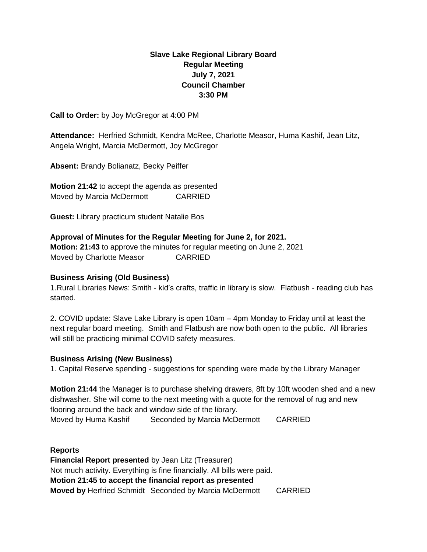# **Slave Lake Regional Library Board Regular Meeting July 7, 2021 Council Chamber 3:30 PM**

**Call to Order:** by Joy McGregor at 4:00 PM

**Attendance:** Herfried Schmidt, Kendra McRee, Charlotte Measor, Huma Kashif, Jean Litz, Angela Wright, Marcia McDermott, Joy McGregor

**Absent:** Brandy Bolianatz, Becky Peiffer

**Motion 21:42** to accept the agenda as presented Moved by Marcia McDermott CARRIED

**Guest:** Library practicum student Natalie Bos

**Approval of Minutes for the Regular Meeting for June 2, for 2021.**

**Motion: 21:43** to approve the minutes for regular meeting on June 2, 2021 Moved by Charlotte Measor CARRIED

## **Business Arising (Old Business)**

1.Rural Libraries News: Smith - kid's crafts, traffic in library is slow. Flatbush - reading club has started.

2. COVID update: Slave Lake Library is open 10am – 4pm Monday to Friday until at least the next regular board meeting. Smith and Flatbush are now both open to the public. All libraries will still be practicing minimal COVID safety measures.

#### **Business Arising (New Business)**

1. Capital Reserve spending - suggestions for spending were made by the Library Manager

**Motion 21:44** the Manager is to purchase shelving drawers, 8ft by 10ft wooden shed and a new dishwasher. She will come to the next meeting with a quote for the removal of rug and new flooring around the back and window side of the library. Moved by Huma Kashif Seconded by Marcia McDermott CARRIED

#### **Reports**

**Financial Report presented** by Jean Litz (Treasurer) Not much activity. Everything is fine financially. All bills were paid. **Motion 21:45 to accept the financial report as presented Moved by** Herfried Schmidt Seconded by Marcia McDermott CARRIED